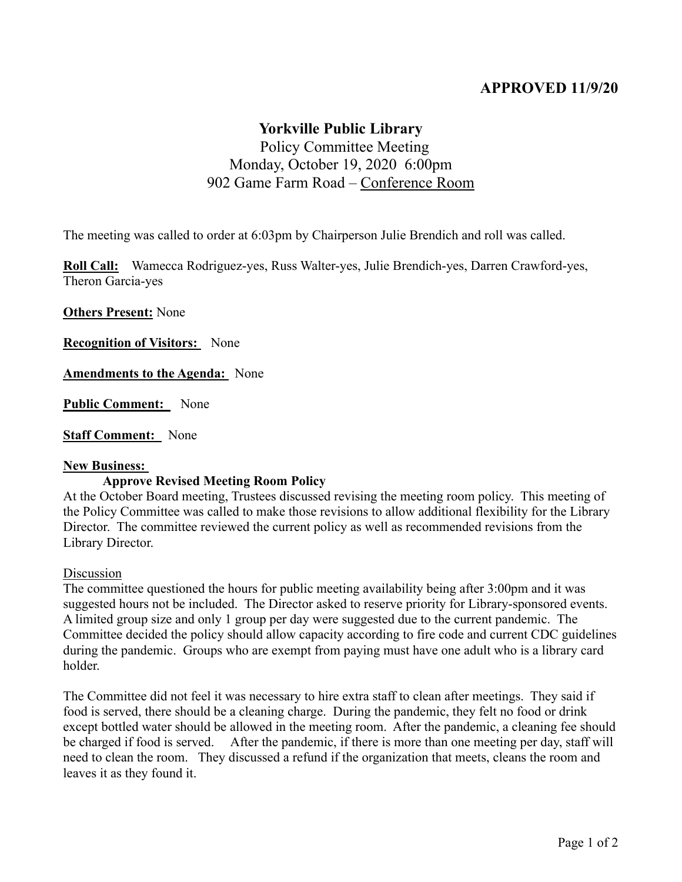# **APPROVED 11/9/20**

## **Yorkville Public Library**

# Policy Committee Meeting Monday, October 19, 2020 6:00pm 902 Game Farm Road – Conference Room

The meeting was called to order at 6:03pm by Chairperson Julie Brendich and roll was called.

**Roll Call:** Wamecca Rodriguez-yes, Russ Walter-yes, Julie Brendich-yes, Darren Crawford-yes, Theron Garcia-yes

**Others Present:** None

**Recognition of Visitors:** None

**Amendments to the Agenda:** None

**Public Comment:** None

**Staff Comment:** None

#### **New Business:**

## **Approve Revised Meeting Room Policy**

At the October Board meeting, Trustees discussed revising the meeting room policy. This meeting of the Policy Committee was called to make those revisions to allow additional flexibility for the Library Director. The committee reviewed the current policy as well as recommended revisions from the Library Director.

#### Discussion

The committee questioned the hours for public meeting availability being after 3:00pm and it was suggested hours not be included. The Director asked to reserve priority for Library-sponsored events. A limited group size and only 1 group per day were suggested due to the current pandemic. The Committee decided the policy should allow capacity according to fire code and current CDC guidelines during the pandemic. Groups who are exempt from paying must have one adult who is a library card holder.

The Committee did not feel it was necessary to hire extra staff to clean after meetings. They said if food is served, there should be a cleaning charge. During the pandemic, they felt no food or drink except bottled water should be allowed in the meeting room. After the pandemic, a cleaning fee should be charged if food is served. After the pandemic, if there is more than one meeting per day, staff will need to clean the room. They discussed a refund if the organization that meets, cleans the room and leaves it as they found it.